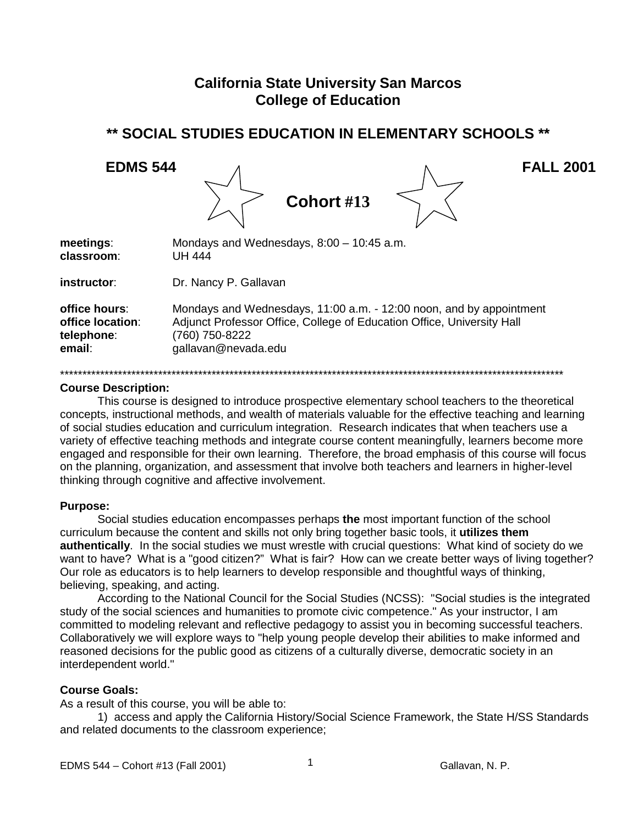# **California State University San Marcos College of Education**

# \*\* SOCIAL STUDIES EDUCATION IN ELEMENTARY SCHOOLS \*\*

A.



 $\Lambda$ 

|                  | Cohort #13                                                             |
|------------------|------------------------------------------------------------------------|
| meetings:        | Mondays and Wednesdays, $8:00 - 10:45$ a.m.                            |
| classroom:       | UH 444                                                                 |
| instructor:      | Dr. Nancy P. Gallavan                                                  |
| office hours:    | Mondays and Wednesdays, 11:00 a.m. - 12:00 noon, and by appointment    |
| office location: | Adjunct Professor Office, College of Education Office, University Hall |
| telephone:       | (760) 750-8222                                                         |
| email:           | gallavan@nevada.edu                                                    |

#### **Course Description:**

This course is designed to introduce prospective elementary school teachers to the theoretical concepts, instructional methods, and wealth of materials valuable for the effective teaching and learning of social studies education and curriculum integration. Research indicates that when teachers use a variety of effective teaching methods and integrate course content meaningfully, learners become more engaged and responsible for their own learning. Therefore, the broad emphasis of this course will focus on the planning, organization, and assessment that involve both teachers and learners in higher-level thinking through cognitive and affective involvement.

#### **Purpose:**

Social studies education encompasses perhaps the most important function of the school curriculum because the content and skills not only bring together basic tools, it utilizes them authentically. In the social studies we must wrestle with crucial questions: What kind of society do we want to have? What is a "good citizen?" What is fair? How can we create better ways of living together? Our role as educators is to help learners to develop responsible and thoughtful ways of thinking, believing, speaking, and acting.

According to the National Council for the Social Studies (NCSS): "Social studies is the integrated study of the social sciences and humanities to promote civic competence." As your instructor, I am committed to modeling relevant and reflective pedagogy to assist you in becoming successful teachers. Collaboratively we will explore ways to "help young people develop their abilities to make informed and reasoned decisions for the public good as citizens of a culturally diverse, democratic society in an interdependent world."

#### **Course Goals:**

As a result of this course, you will be able to:

1) access and apply the California History/Social Science Framework, the State H/SS Standards and related documents to the classroom experience;

 $\mathbf{1}$ 

**FALL 2001**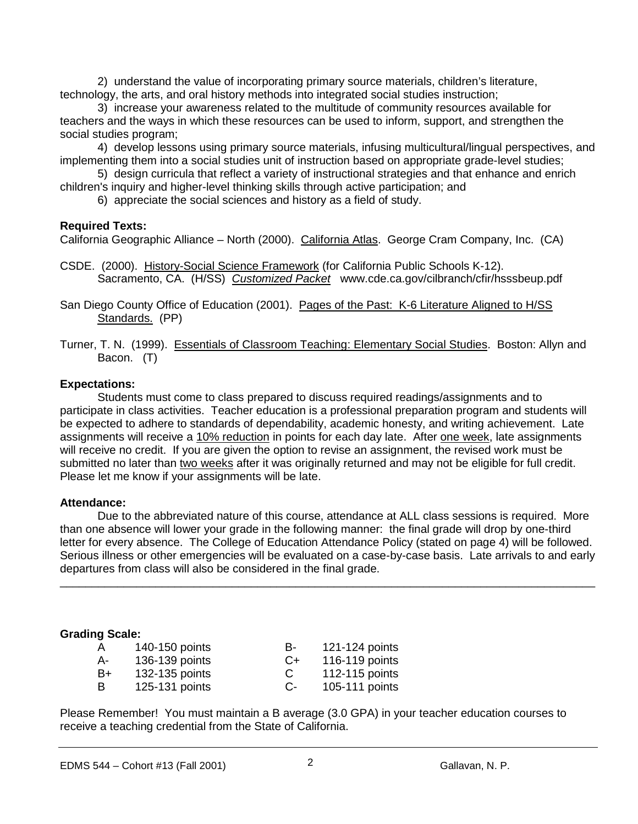2) understand the value of incorporating primary source materials, children's literature, technology, the arts, and oral history methods into integrated social studies instruction;

3) increase your awareness related to the multitude of community resources available for teachers and the ways in which these resources can be used to inform, support, and strengthen the social studies program;

4) develop lessons using primary source materials, infusing multicultural/lingual perspectives, and implementing them into a social studies unit of instruction based on appropriate grade-level studies;

5) design curricula that reflect a variety of instructional strategies and that enhance and enrich children's inquiry and higher-level thinking skills through active participation; and

6) appreciate the social sciences and history as a field of study.

#### **Required Texts:**

California Geographic Alliance – North (2000). California Atlas. George Cram Company, Inc. (CA)

CSDE. (2000). History-Social Science Framework (for California Public Schools K-12). Sacramento, CA. (H/SS) *Customized Packet* www.cde.ca.gov/cilbranch/cfir/hsssbeup.pdf

San Diego County Office of Education (2001). Pages of the Past: K-6 Literature Aligned to H/SS Standards. (PP)

Turner, T. N. (1999). Essentials of Classroom Teaching: Elementary Social Studies. Boston: Allyn and Bacon. (T)

### **Expectations:**

Students must come to class prepared to discuss required readings/assignments and to participate in class activities. Teacher education is a professional preparation program and students will be expected to adhere to standards of dependability, academic honesty, and writing achievement. Late assignments will receive a 10% reduction in points for each day late. After one week, late assignments will receive no credit. If you are given the option to revise an assignment, the revised work must be submitted no later than two weeks after it was originally returned and may not be eligible for full credit. Please let me know if your assignments will be late.

#### **Attendance:**

Due to the abbreviated nature of this course, attendance at ALL class sessions is required. More than one absence will lower your grade in the following manner: the final grade will drop by one-third letter for every absence. The College of Education Attendance Policy (stated on page 4) will be followed. Serious illness or other emergencies will be evaluated on a case-by-case basis. Late arrivals to and early departures from class will also be considered in the final grade.

\_\_\_\_\_\_\_\_\_\_\_\_\_\_\_\_\_\_\_\_\_\_\_\_\_\_\_\_\_\_\_\_\_\_\_\_\_\_\_\_\_\_\_\_\_\_\_\_\_\_\_\_\_\_\_\_\_\_\_\_\_\_\_\_\_\_\_\_\_\_\_\_\_\_\_\_\_\_\_\_\_\_\_\_

#### **Grading Scale:**

| $\overline{A}$ | 140-150 points | н-   | 121-124 points |
|----------------|----------------|------|----------------|
| $A-$           | 136-139 points | $C+$ | 116-119 points |
| B+             | 132-135 points | C    | 112-115 points |
| -B             | 125-131 points | С-   | 105-111 points |

Please Remember! You must maintain a B average (3.0 GPA) in your teacher education courses to receive a teaching credential from the State of California.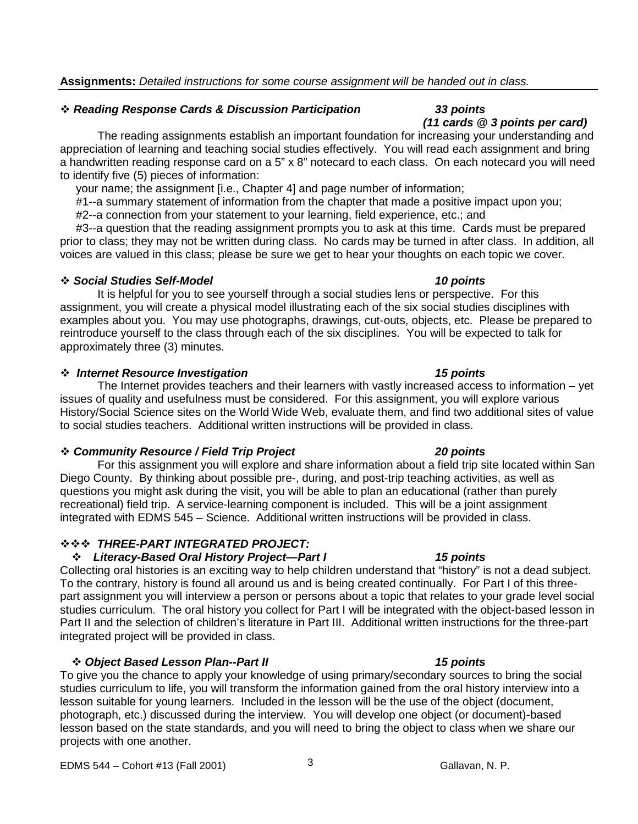#### *Reading Response Cards & Discussion Participation 33 points*

The reading assignments establish an important foundation for increasing your understanding and appreciation of learning and teaching social studies effectively. You will read each assignment and bring a handwritten reading response card on a 5" x 8" notecard to each class. On each notecard you will need to identify five (5) pieces of information:

your name; the assignment [i.e., Chapter 4] and page number of information;

#1--a summary statement of information from the chapter that made a positive impact upon you;

#2--a connection from your statement to your learning, field experience, etc.; and

 #3--a question that the reading assignment prompts you to ask at this time. Cards must be prepared prior to class; they may not be written during class. No cards may be turned in after class. In addition, all voices are valued in this class; please be sure we get to hear your thoughts on each topic we cover.

#### *Social Studies Self-Model 10 points*

It is helpful for you to see yourself through a social studies lens or perspective. For this assignment, you will create a physical model illustrating each of the six social studies disciplines with examples about you. You may use photographs, drawings, cut-outs, objects, etc. Please be prepared to reintroduce yourself to the class through each of the six disciplines. You will be expected to talk for approximately three (3) minutes.

#### *Internet Resource Investigation 15 points*

The Internet provides teachers and their learners with vastly increased access to information – yet issues of quality and usefulness must be considered. For this assignment, you will explore various History/Social Science sites on the World Wide Web, evaluate them, and find two additional sites of value to social studies teachers. Additional written instructions will be provided in class.

#### *Community Resource / Field Trip Project 20 points*

For this assignment you will explore and share information about a field trip site located within San Diego County. By thinking about possible pre-, during, and post-trip teaching activities, as well as questions you might ask during the visit, you will be able to plan an educational (rather than purely recreational) field trip. A service-learning component is included. This will be a joint assignment integrated with EDMS 545 – Science. Additional written instructions will be provided in class.

#### *THREE-PART INTEGRATED PROJECT:*

#### *Literacy-Based Oral History Project—Part I 15 points*

Collecting oral histories is an exciting way to help children understand that "history" is not a dead subject. To the contrary, history is found all around us and is being created continually. For Part I of this threepart assignment you will interview a person or persons about a topic that relates to your grade level social studies curriculum. The oral history you collect for Part I will be integrated with the object-based lesson in Part II and the selection of children's literature in Part III. Additional written instructions for the three-part integrated project will be provided in class.

#### *Object Based Lesson Plan--Part II 15 points*

To give you the chance to apply your knowledge of using primary/secondary sources to bring the social studies curriculum to life, you will transform the information gained from the oral history interview into a lesson suitable for young learners. Included in the lesson will be the use of the object (document, photograph, etc.) discussed during the interview. You will develop one object (or document)-based lesson based on the state standards, and you will need to bring the object to class when we share our projects with one another.

# EDMS 544 – Cohort #13 (Fall 2001)  $\qquad \qquad$  3 Gallavan, N. P.

# *(11 cards @ 3 points per card)*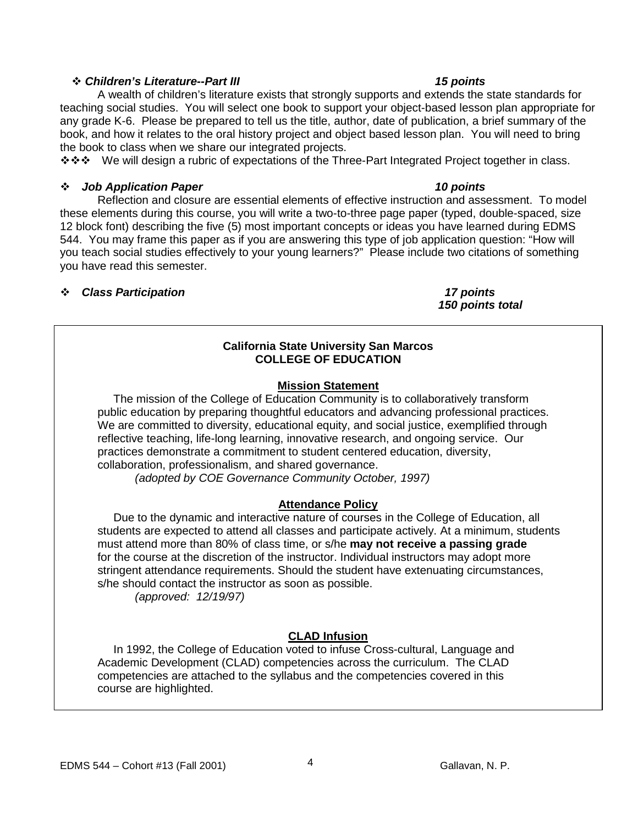#### *Children's Literature--Part III 15 points*

A wealth of children's literature exists that strongly supports and extends the state standards for teaching social studies. You will select one book to support your object-based lesson plan appropriate for any grade K-6. Please be prepared to tell us the title, author, date of publication, a brief summary of the book, and how it relates to the oral history project and object based lesson plan. You will need to bring the book to class when we share our integrated projects.

��� We will design a rubric of expectations of the Three-Part Integrated Project together in class.

### *Job Application Paper 10 points*

Reflection and closure are essential elements of effective instruction and assessment. To model these elements during this course, you will write a two-to-three page paper (typed, double-spaced, size 12 block font) describing the five (5) most important concepts or ideas you have learned during EDMS 544. You may frame this paper as if you are answering this type of job application question: "How will you teach social studies effectively to your young learners?" Please include two citations of something you have read this semester.

#### *Class Participation 17 points*

*150 points total*

### **California State University San Marcos COLLEGE OF EDUCATION**

### **Mission Statement**

 The mission of the College of Education Community is to collaboratively transform public education by preparing thoughtful educators and advancing professional practices. We are committed to diversity, educational equity, and social justice, exemplified through reflective teaching, life-long learning, innovative research, and ongoing service. Our practices demonstrate a commitment to student centered education, diversity, collaboration, professionalism, and shared governance.

 *(adopted by COE Governance Community October, 1997)*

# **Attendance Policy**

 Due to the dynamic and interactive nature of courses in the College of Education, all students are expected to attend all classes and participate actively. At a minimum, students must attend more than 80% of class time, or s/he **may not receive a passing grade** for the course at the discretion of the instructor. Individual instructors may adopt more stringent attendance requirements. Should the student have extenuating circumstances, s/he should contact the instructor as soon as possible.

 *(approved: 12/19/97)*

# **CLAD Infusion**

 In 1992, the College of Education voted to infuse Cross-cultural, Language and Academic Development (CLAD) competencies across the curriculum. The CLAD competencies are attached to the syllabus and the competencies covered in this course are highlighted.